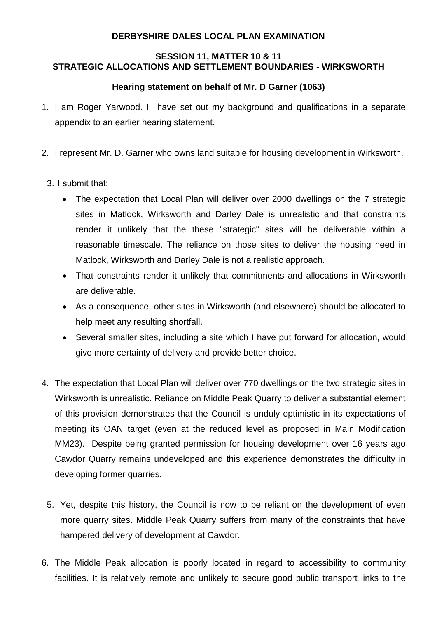## **DERBYSHIRE DALES LOCAL PLAN EXAMINATION**

## **SESSION 11, MATTER 10 & 11 STRATEGIC ALLOCATIONS AND SETTLEMENT BOUNDARIES - WIRKSWORTH**

## **Hearing statement on behalf of Mr. D Garner (1063)**

- 1. I am Roger Yarwood. I have set out my background and qualifications in a separate appendix to an earlier hearing statement.
- 2. I represent Mr. D. Garner who owns land suitable for housing development in Wirksworth.
- 3. I submit that:
	- The expectation that Local Plan will deliver over 2000 dwellings on the 7 strategic sites in Matlock, Wirksworth and Darley Dale is unrealistic and that constraints render it unlikely that the these "strategic" sites will be deliverable within a reasonable timescale. The reliance on those sites to deliver the housing need in Matlock, Wirksworth and Darley Dale is not a realistic approach.
	- That constraints render it unlikely that commitments and allocations in Wirksworth are deliverable.
	- As a consequence, other sites in Wirksworth (and elsewhere) should be allocated to help meet any resulting shortfall.
	- Several smaller sites, including a site which I have put forward for allocation, would give more certainty of delivery and provide better choice.
- 4. The expectation that Local Plan will deliver over 770 dwellings on the two strategic sites in Wirksworth is unrealistic. Reliance on Middle Peak Quarry to deliver a substantial element of this provision demonstrates that the Council is unduly optimistic in its expectations of meeting its OAN target (even at the reduced level as proposed in Main Modification MM23). Despite being granted permission for housing development over 16 years ago Cawdor Quarry remains undeveloped and this experience demonstrates the difficulty in developing former quarries.
	- 5. Yet, despite this history, the Council is now to be reliant on the development of even more quarry sites. Middle Peak Quarry suffers from many of the constraints that have hampered delivery of development at Cawdor.
- 6. The Middle Peak allocation is poorly located in regard to accessibility to community facilities. It is relatively remote and unlikely to secure good public transport links to the